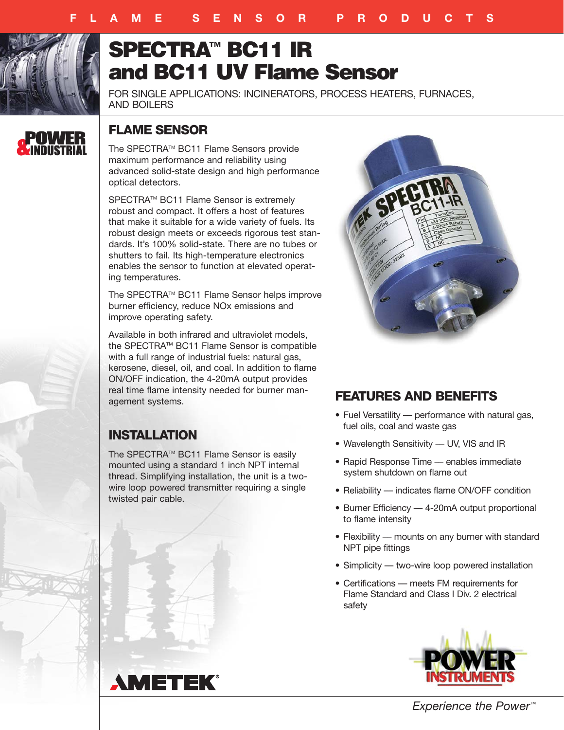

# **SPECTRA™ BC11 IR and BC11 UV Flame Sensor**

FOR SINGLE APPLICATIONS: INCINERATORS, PROCESS HEATERS, FURNACES, AND BOILERS



# **FLAME SENSOR**

The SPECTRATM BC11 Flame Sensors provide maximum performance and reliability using advanced solid-state design and high performance optical detectors.

SPECTRA™ BC11 Flame Sensor is extremely robust and compact. It offers a host of features that make it suitable for a wide variety of fuels. Its robust design meets or exceeds rigorous test standards. It's 100% solid-state. There are no tubes or shutters to fail. Its high-temperature electronics enables the sensor to function at elevated operating temperatures.

The SPECTRA™ BC11 Flame Sensor helps improve burner efficiency, reduce NOx emissions and improve operating safety.

Available in both infrared and ultraviolet models, the SPECTRA™ BC11 Flame Sensor is compatible with a full range of industrial fuels: natural gas, kerosene, diesel, oil, and coal. In addition to flame ON/OFF indication, the 4-20mA output provides real time flame intensity needed for burner management systems.

# **INSTALLATION**

The SPECTRA™ BC11 Flame Sensor is easily mounted using a standard 1 inch NPT internal thread. Simplifying installation, the unit is a twowire loop powered transmitter requiring a single twisted pair cable.



# **FEATURES AND BENEFITS**

- Fuel Versatility –– performance with natural gas, fuel oils, coal and waste gas
- Wavelength Sensitivity UV, VIS and IR
- Rapid Response Time –– enables immediate system shutdown on flame out
- Reliability indicates flame ON/OFF condition
- Burner Efficiency 4-20mA output proportional to flame intensity
- Flexibility –– mounts on any burner with standard NPT pipe fittings
- Simplicity two-wire loop powered installation
- Certifications –– meets FM requirements for Flame Standard and Class I Div. 2 electrical safety





*Experience the Power™*